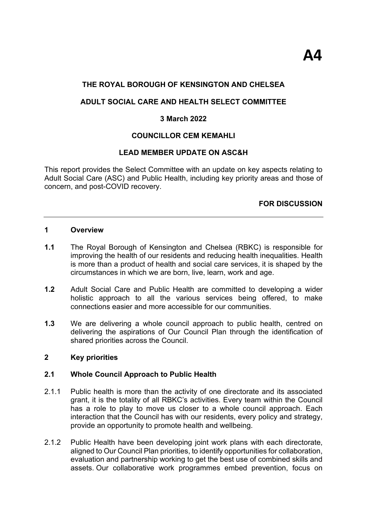## **THE ROYAL BOROUGH OF KENSINGTON AND CHELSEA**

## **ADULT SOCIAL CARE AND HEALTH SELECT COMMITTEE**

## **3 March 2022**

## **COUNCILLOR CEM KEMAHLI**

## **LEAD MEMBER UPDATE ON ASC&H**

This report provides the Select Committee with an update on key aspects relating to Adult Social Care (ASC) and Public Health, including key priority areas and those of concern, and post-COVID recovery.

## **FOR DISCUSSION**

#### **1 Overview**

- **1.1** The Royal Borough of Kensington and Chelsea (RBKC) is responsible for improving the health of our residents and reducing health inequalities. Health is more than a product of health and social care services, it is shaped by the circumstances in which we are born, live, learn, work and age.
- **1.2** Adult Social Care and Public Health are committed to developing a wider holistic approach to all the various services being offered, to make connections easier and more accessible for our communities.
- **1.3** We are delivering a whole council approach to public health, centred on delivering the aspirations of Our Council Plan through the identification of shared priorities across the Council.

#### **2 Key priorities**

#### **2.1 Whole Council Approach to Public Health**

- 2.1.1 Public health is more than the activity of one directorate and its associated grant, it is the totality of all RBKC's activities. Every team within the Council has a role to play to move us closer to a whole council approach. Each interaction that the Council has with our residents, every policy and strategy, provide an opportunity to promote health and wellbeing.
- 2.1.2 Public Health have been developing joint work plans with each directorate, aligned to Our Council Plan priorities, to identify opportunities for collaboration, evaluation and partnership working to get the best use of combined skills and assets. Our collaborative work programmes embed prevention, focus on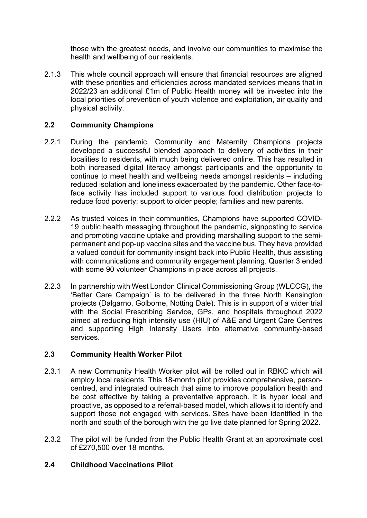those with the greatest needs, and involve our communities to maximise the health and wellbeing of our residents.

2.1.3 This whole council approach will ensure that financial resources are aligned with these priorities and efficiencies across mandated services means that in 2022/23 an additional £1m of Public Health money will be invested into the local priorities of prevention of youth violence and exploitation, air quality and physical activity.

# **2.2 Community Champions**

- 2.2.1 During the pandemic, Community and Maternity Champions projects developed a successful blended approach to delivery of activities in their localities to residents, with much being delivered online. This has resulted in both increased digital literacy amongst participants and the opportunity to continue to meet health and wellbeing needs amongst residents – including reduced isolation and loneliness exacerbated by the pandemic. Other face-toface activity has included support to various food distribution projects to reduce food poverty; support to older people; families and new parents.
- 2.2.2 As trusted voices in their communities, Champions have supported COVID-19 public health messaging throughout the pandemic, signposting to service and promoting vaccine uptake and providing marshalling support to the semipermanent and pop-up vaccine sites and the vaccine bus. They have provided a valued conduit for community insight back into Public Health, thus assisting with communications and community engagement planning. Quarter 3 ended with some 90 volunteer Champions in place across all projects.
- 2.2.3 In partnership with West London Clinical Commissioning Group (WLCCG), the 'Better Care Campaign' is to be delivered in the three North Kensington projects (Dalgarno, Golborne, Notting Dale). This is in support of a wider trial with the Social Prescribing Service, GPs, and hospitals throughout 2022 aimed at reducing high intensity use (HIU) of A&E and Urgent Care Centres and supporting High Intensity Users into alternative community-based services.

# **2.3 Community Health Worker Pilot**

- 2.3.1 A new Community Health Worker pilot will be rolled out in RBKC which will employ local residents. This 18-month pilot provides comprehensive, personcentred, and integrated outreach that aims to improve population health and be cost effective by taking a preventative approach. It is hyper local and proactive, as opposed to a referral-based model, which allows it to identify and support those not engaged with services. Sites have been identified in the north and south of the borough with the go live date planned for Spring 2022.
- 2.3.2 The pilot will be funded from the Public Health Grant at an approximate cost of £270,500 over 18 months.

# **2.4 Childhood Vaccinations Pilot**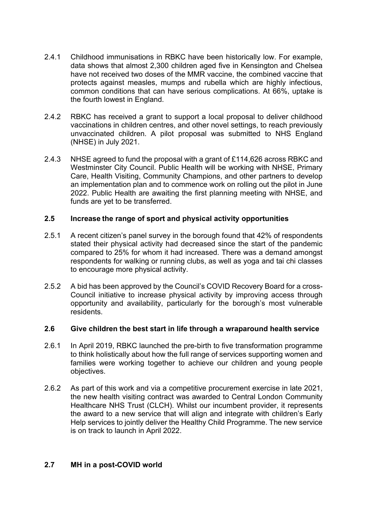- 2.4.1 Childhood immunisations in RBKC have been historically low. For example, data shows that almost 2,300 children aged five in Kensington and Chelsea have not received two doses of the MMR vaccine, the combined vaccine that protects against measles, mumps and rubella which are highly infectious, common conditions that can have serious complications. At 66%, uptake is the fourth lowest in England.
- 2.4.2 RBKC has received a grant to support a local proposal to deliver childhood vaccinations in children centres, and other novel settings, to reach previously unvaccinated children. A pilot proposal was submitted to NHS England (NHSE) in July 2021.
- 2.4.3 NHSE agreed to fund the proposal with a grant of £114,626 across RBKC and Westminster City Council. Public Health will be working with NHSE, Primary Care, Health Visiting, Community Champions, and other partners to develop an implementation plan and to commence work on rolling out the pilot in June 2022. Public Health are awaiting the first planning meeting with NHSE, and funds are yet to be transferred.

## **2.5 Increase the range of sport and physical activity opportunities**

- 2.5.1 A recent citizen's panel survey in the borough found that 42% of respondents stated their physical activity had decreased since the start of the pandemic compared to 25% for whom it had increased. There was a demand amongst respondents for walking or running clubs, as well as yoga and tai chi classes to encourage more physical activity.
- 2.5.2 A bid has been approved by the Council's COVID Recovery Board for a cross-Council initiative to increase physical activity by improving access through opportunity and availability, particularly for the borough's most vulnerable residents.

## **2.6 Give children the best start in life through a wraparound health service**

- 2.6.1 In April 2019, RBKC launched the pre-birth to five transformation programme to think holistically about how the full range of services supporting women and families were working together to achieve our children and young people objectives.
- 2.6.2 As part of this work and via a competitive procurement exercise in late 2021, the new health visiting contract was awarded to Central London Community Healthcare NHS Trust (CLCH). Whilst our incumbent provider, it represents the award to a new service that will align and integrate with children's Early Help services to jointly deliver the Healthy Child Programme. The new service is on track to launch in April 2022.

## **2.7 MH in a post-COVID world**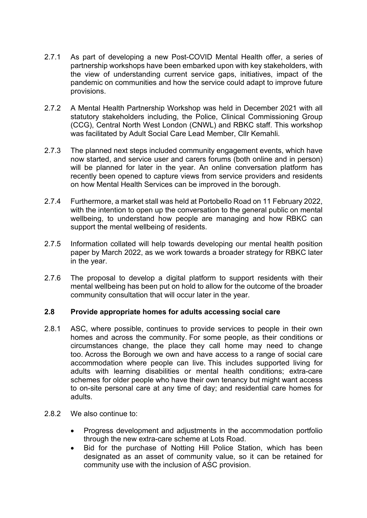- 2.7.1 As part of developing a new Post-COVID Mental Health offer, a series of partnership workshops have been embarked upon with key stakeholders, with the view of understanding current service gaps, initiatives, impact of the pandemic on communities and how the service could adapt to improve future provisions.
- 2.7.2 A Mental Health Partnership Workshop was held in December 2021 with all statutory stakeholders including, the Police, Clinical Commissioning Group (CCG), Central North West London (CNWL) and RBKC staff. This workshop was facilitated by Adult Social Care Lead Member, Cllr Kemahli.
- 2.7.3 The planned next steps included community engagement events, which have now started, and service user and carers forums (both online and in person) will be planned for later in the year. An online conversation platform has recently been opened to capture views from service providers and residents on how Mental Health Services can be improved in the borough.
- 2.7.4 Furthermore, a market stall was held at Portobello Road on 11 February 2022, with the intention to open up the conversation to the general public on mental wellbeing, to understand how people are managing and how RBKC can support the mental wellbeing of residents.
- 2.7.5 Information collated will help towards developing our mental health position paper by March 2022, as we work towards a broader strategy for RBKC later in the year.
- 2.7.6 The proposal to develop a digital platform to support residents with their mental wellbeing has been put on hold to allow for the outcome of the broader community consultation that will occur later in the year.

## **2.8 Provide appropriate homes for adults accessing social care**

- 2.8.1 ASC, where possible, continues to provide services to people in their own homes and across the community. For some people, as their conditions or circumstances change, the place they call home may need to change too. Across the Borough we own and have access to a range of social care accommodation where people can live. This includes supported living for adults with learning disabilities or mental health conditions; extra-care schemes for older people who have their own tenancy but might want access to on-site personal care at any time of day; and residential care homes for adults.
- 2.8.2 We also continue to:
	- Progress development and adjustments in the accommodation portfolio through the new extra-care scheme at Lots Road.
	- Bid for the purchase of Notting Hill Police Station, which has been designated as an asset of community value, so it can be retained for community use with the inclusion of ASC provision.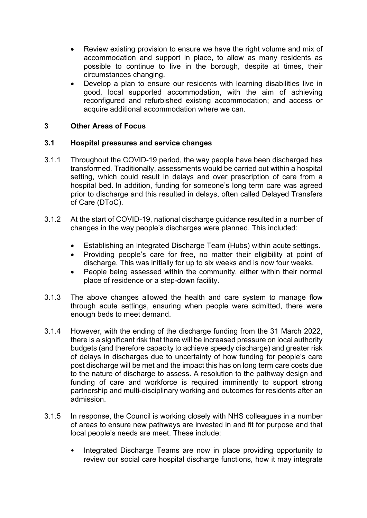- Review existing provision to ensure we have the right volume and mix of accommodation and support in place, to allow as many residents as possible to continue to live in the borough, despite at times, their circumstances changing.
- Develop a plan to ensure our residents with learning disabilities live in good, local supported accommodation, with the aim of achieving reconfigured and refurbished existing accommodation; and access or acquire additional accommodation where we can.

## **3 Other Areas of Focus**

## **3.1 Hospital pressures and service changes**

- 3.1.1 Throughout the COVID-19 period, the way people have been discharged has transformed. Traditionally, assessments would be carried out within a hospital setting, which could result in delays and over prescription of care from a hospital bed. In addition, funding for someone's long term care was agreed prior to discharge and this resulted in delays, often called Delayed Transfers of Care (DToC).
- 3.1.2 At the start of COVID-19, national discharge guidance resulted in a number of changes in the way people's discharges were planned. This included:
	- Establishing an Integrated Discharge Team (Hubs) within acute settings.
	- Providing people's care for free, no matter their eligibility at point of discharge. This was initially for up to six weeks and is now four weeks.
	- People being assessed within the community, either within their normal place of residence or a step-down facility.
- 3.1.3 The above changes allowed the health and care system to manage flow through acute settings, ensuring when people were admitted, there were enough beds to meet demand.
- 3.1.4 However, with the ending of the discharge funding from the 31 March 2022, there is a significant risk that there will be increased pressure on local authority budgets (and therefore capacity to achieve speedy discharge) and greater risk of delays in discharges due to uncertainty of how funding for people's care post discharge will be met and the impact this has on long term care costs due to the nature of discharge to assess. A resolution to the pathway design and funding of care and workforce is required imminently to support strong partnership and multi-disciplinary working and outcomes for residents after an admission.
- 3.1.5 In response, the Council is working closely with NHS colleagues in a number of areas to ensure new pathways are invested in and fit for purpose and that local people's needs are meet. These include:
	- Integrated Discharge Teams are now in place providing opportunity to review our social care hospital discharge functions, how it may integrate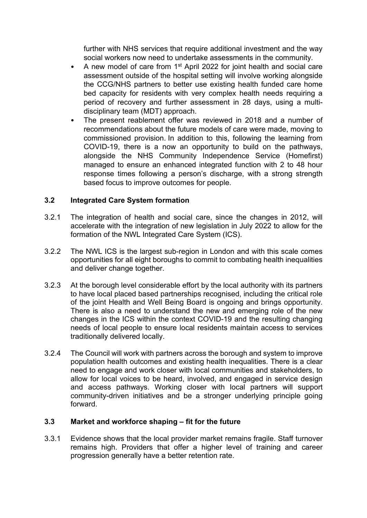further with NHS services that require additional investment and the way social workers now need to undertake assessments in the community.

- A new model of care from 1<sup>st</sup> April 2022 for joint health and social care assessment outside of the hospital setting will involve working alongside the CCG/NHS partners to better use existing health funded care home bed capacity for residents with very complex health needs requiring a period of recovery and further assessment in 28 days, using a multidisciplinary team (MDT) approach.
- The present reablement offer was reviewed in 2018 and a number of recommendations about the future models of care were made, moving to commissioned provision. In addition to this, following the learning from COVID-19, there is a now an opportunity to build on the pathways, alongside the NHS Community Independence Service (Homefirst) managed to ensure an enhanced integrated function with 2 to 48 hour response times following a person's discharge, with a strong strength based focus to improve outcomes for people.

## **3.2 Integrated Care System formation**

- 3.2.1 The integration of health and social care, since the changes in 2012, will accelerate with the integration of new legislation in July 2022 to allow for the formation of the NWL Integrated Care System (ICS).
- 3.2.2 The NWL ICS is the largest sub-region in London and with this scale comes opportunities for all eight boroughs to commit to combating health inequalities and deliver change together.
- 3.2.3 At the borough level considerable effort by the local authority with its partners to have local placed based partnerships recognised, including the critical role of the joint Health and Well Being Board is ongoing and brings opportunity. There is also a need to understand the new and emerging role of the new changes in the ICS within the context COVID-19 and the resulting changing needs of local people to ensure local residents maintain access to services traditionally delivered locally.
- 3.2.4 The Council will work with partners across the borough and system to improve population health outcomes and existing health inequalities. There is a clear need to engage and work closer with local communities and stakeholders, to allow for local voices to be heard, involved, and engaged in service design and access pathways. Working closer with local partners will support community-driven initiatives and be a stronger underlying principle going forward.

## **3.3 Market and workforce shaping – fit for the future**

3.3.1 Evidence shows that the local provider market remains fragile. Staff turnover remains high. Providers that offer a higher level of training and career progression generally have a better retention rate.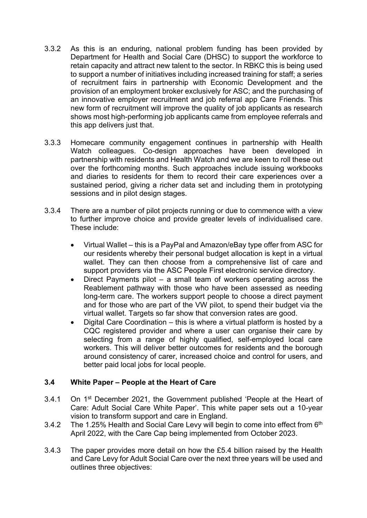- 3.3.2 As this is an enduring, national problem funding has been provided by Department for Health and Social Care (DHSC) to support the workforce to retain capacity and attract new talent to the sector. In RBKC this is being used to support a number of initiatives including increased training for staff; a series of recruitment fairs in partnership with Economic Development and the provision of an employment broker exclusively for ASC; and the purchasing of an innovative employer recruitment and job referral app Care Friends. This new form of recruitment will improve the quality of job applicants as research shows most high-performing job applicants came from employee referrals and this app delivers just that.
- 3.3.3 Homecare community engagement continues in partnership with Health Watch colleagues. Co-design approaches have been developed in partnership with residents and Health Watch and we are keen to roll these out over the forthcoming months. Such approaches include issuing workbooks and diaries to residents for them to record their care experiences over a sustained period, giving a richer data set and including them in prototyping sessions and in pilot design stages.
- 3.3.4 There are a number of pilot projects running or due to commence with a view to further improve choice and provide greater levels of individualised care. These include:
	- Virtual Wallet this is a PayPal and Amazon/eBay type offer from ASC for our residents whereby their personal budget allocation is kept in a virtual wallet. They can then choose from a comprehensive list of care and support providers via the ASC People First electronic service directory.
	- Direct Payments pilot a small team of workers operating across the Reablement pathway with those who have been assessed as needing long-term care. The workers support people to choose a direct payment and for those who are part of the VW pilot, to spend their budget via the virtual wallet. Targets so far show that conversion rates are good.
	- Digital Care Coordination this is where a virtual platform is hosted by a CQC registered provider and where a user can organise their care by selecting from a range of highly qualified, self-employed local care workers. This will deliver better outcomes for residents and the borough around consistency of carer, increased choice and control for users, and better paid local jobs for local people.

# **3.4 White Paper – People at the Heart of Care**

- 3.4.1 On 1st December 2021, the Government published 'People at the Heart of Care: Adult Social Care White Paper'. This white paper sets out a 10-year vision to transform support and care in England.
- 3.4.2 The 1.25% Health and Social Care Levy will begin to come into effect from 6<sup>th</sup> April 2022, with the Care Cap being implemented from October 2023.
- 3.4.3 The paper provides more detail on how the £5.4 billion raised by the Health and Care Levy for Adult Social Care over the next three years will be used and outlines three objectives: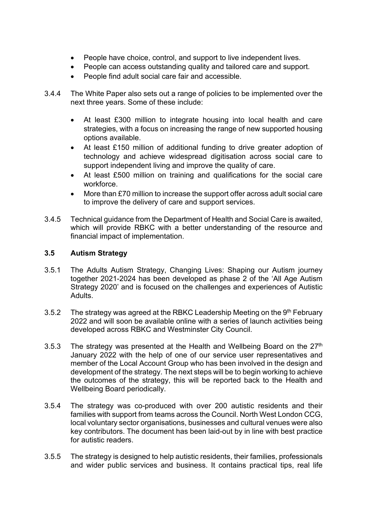- People have choice, control, and support to live independent lives.
- People can access outstanding quality and tailored care and support.
- People find adult social care fair and accessible.
- 3.4.4 The White Paper also sets out a range of policies to be implemented over the next three years. Some of these include:
	- At least £300 million to integrate housing into local health and care strategies, with a focus on increasing the range of new supported housing options available.
	- At least £150 million of additional funding to drive greater adoption of technology and achieve widespread digitisation across social care to support independent living and improve the quality of care.
	- At least £500 million on training and qualifications for the social care workforce.
	- More than £70 million to increase the support offer across adult social care to improve the delivery of care and support services.
- 3.4.5 Technical guidance from the Department of Health and Social Care is awaited, which will provide RBKC with a better understanding of the resource and financial impact of implementation.

## **3.5 Autism Strategy**

- 3.5.1 The Adults Autism Strategy, Changing Lives: Shaping our Autism journey together 2021-2024 has been developed as phase 2 of the 'All Age Autism Strategy 2020' and is focused on the challenges and experiences of Autistic Adults.
- 3.5.2 The strategy was agreed at the RBKC Leadership Meeting on the 9<sup>th</sup> February 2022 and will soon be available online with a series of launch activities being developed across RBKC and Westminster City Council.
- 3.5.3 The strategy was presented at the Health and Wellbeing Board on the  $27<sup>th</sup>$ January 2022 with the help of one of our service user representatives and member of the Local Account Group who has been involved in the design and development of the strategy. The next steps will be to begin working to achieve the outcomes of the strategy, this will be reported back to the Health and Wellbeing Board periodically.
- 3.5.4 The strategy was co-produced with over 200 autistic residents and their families with support from teams across the Council. North West London CCG, local voluntary sector organisations, businesses and cultural venues were also key contributors. The document has been laid-out by in line with best practice for autistic readers.
- 3.5.5 The strategy is designed to help autistic residents, their families, professionals and wider public services and business. It contains practical tips, real life